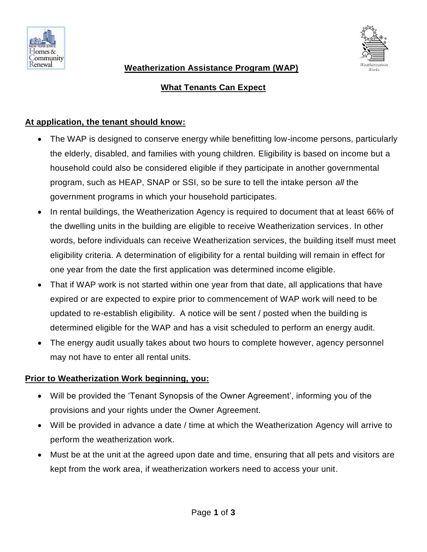



## **Weatherization Assistance Program (WAP)**

# **What Tenants Can Expect**

#### **At application, the tenant should know:**

- The WAP is designed to conserve energy while benefitting low-income persons, particularly the elderly, disabled, and families with young children. Eligibility is based on income but a household could also be considered eligible if they participate in another governmental program, such as HEAP, SNAP or SSI, so be sure to tell the intake person *all* the government programs in which your household participates.
- In rental buildings, the Weatherization Agency is required to document that at least 66% of the dwelling units in the building are eligible to receive Weatherization services. In other words, before individuals can receive Weatherization services, the building itself must meet eligibility criteria. A determination of eligibility for a rental building will remain in effect for one year from the date the first application was determined income eligible.
- That if WAP work is not started within one year from that date, all applications that have expired or are expected to expire prior to commencement of WAP work will need to be updated to re-establish eligibility. A notice will be sent / posted when the building is determined eligible for the WAP and has a visit scheduled to perform an energy audit.
- The energy audit usually takes about two hours to complete however, agency personnel may not have to enter all rental units.

## **Prior to Weatherization Work beginning, you:**

- Will be provided the 'Tenant Synopsis of the Owner Agreement', informing you of the provisions and your rights under the Owner Agreement.
- Will be provided in advance a date / time at which the Weatherization Agency will arrive to perform the weatherization work.
- Must be at the unit at the agreed upon date and time, ensuring that all pets and visitors are kept from the work area, if weatherization workers need to access your unit.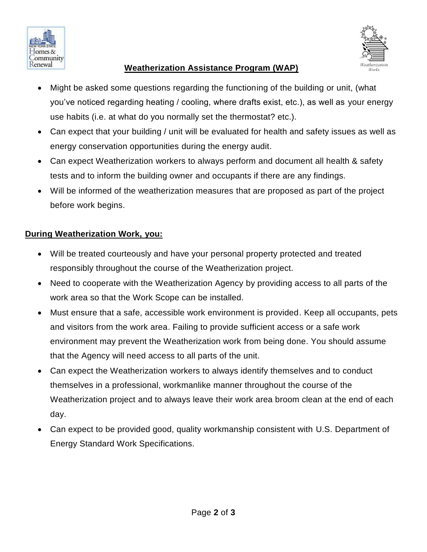



## **Weatherization Assistance Program (WAP)**

- Might be asked some questions regarding the functioning of the building or unit, (what you've noticed regarding heating / cooling, where drafts exist, etc.), as well as your energy use habits (i.e. at what do you normally set the thermostat? etc.).
- Can expect that your building / unit will be evaluated for health and safety issues as well as energy conservation opportunities during the energy audit.
- Can expect Weatherization workers to always perform and document all health & safety tests and to inform the building owner and occupants if there are any findings.
- Will be informed of the weatherization measures that are proposed as part of the project before work begins.

### **During Weatherization Work, you:**

- Will be treated courteously and have your personal property protected and treated responsibly throughout the course of the Weatherization project.
- Need to cooperate with the Weatherization Agency by providing access to all parts of the work area so that the Work Scope can be installed.
- Must ensure that a safe, accessible work environment is provided. Keep all occupants, pets and visitors from the work area. Failing to provide sufficient access or a safe work environment may prevent the Weatherization work from being done. You should assume that the Agency will need access to all parts of the unit.
- Can expect the Weatherization workers to always identify themselves and to conduct themselves in a professional, workmanlike manner throughout the course of the Weatherization project and to always leave their work area broom clean at the end of each day.
- Can expect to be provided good, quality workmanship consistent with U.S. Department of Energy Standard Work Specifications.